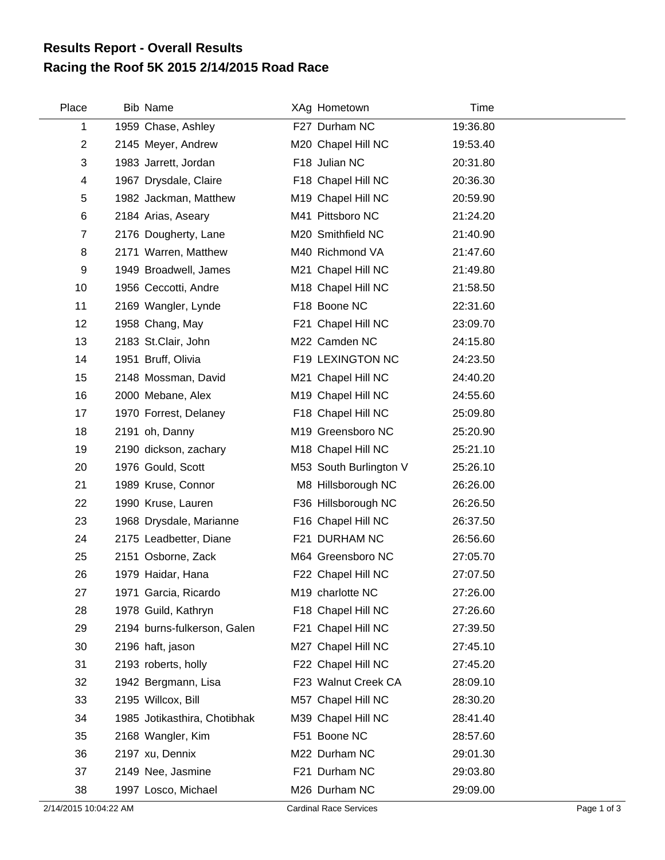## **Racing the Roof 5K 2015 2/14/2015 Road Race Results Report - Overall Results**

| Place          | <b>Bib Name</b>              | XAg Hometown           | Time     |
|----------------|------------------------------|------------------------|----------|
| 1              | 1959 Chase, Ashley           | F27 Durham NC          | 19:36.80 |
| $\overline{2}$ | 2145 Meyer, Andrew           | M20 Chapel Hill NC     | 19:53.40 |
| 3              | 1983 Jarrett, Jordan         | F18 Julian NC          | 20:31.80 |
| 4              | 1967 Drysdale, Claire        | F18 Chapel Hill NC     | 20:36.30 |
| 5              | 1982 Jackman, Matthew        | M19 Chapel Hill NC     | 20:59.90 |
| 6              | 2184 Arias, Aseary           | M41 Pittsboro NC       | 21:24.20 |
| $\overline{7}$ | 2176 Dougherty, Lane         | M20 Smithfield NC      | 21:40.90 |
| 8              | 2171 Warren, Matthew         | M40 Richmond VA        | 21:47.60 |
| 9              | 1949 Broadwell, James        | M21 Chapel Hill NC     | 21:49.80 |
| 10             | 1956 Ceccotti, Andre         | M18 Chapel Hill NC     | 21:58.50 |
| 11             | 2169 Wangler, Lynde          | F18 Boone NC           | 22:31.60 |
| 12             | 1958 Chang, May              | F21 Chapel Hill NC     | 23:09.70 |
| 13             | 2183 St.Clair, John          | M22 Camden NC          | 24:15.80 |
| 14             | 1951 Bruff, Olivia           | F19 LEXINGTON NC       | 24:23.50 |
| 15             | 2148 Mossman, David          | M21 Chapel Hill NC     | 24:40.20 |
| 16             | 2000 Mebane, Alex            | M19 Chapel Hill NC     | 24:55.60 |
| 17             | 1970 Forrest, Delaney        | F18 Chapel Hill NC     | 25:09.80 |
| 18             | 2191 oh, Danny               | M19 Greensboro NC      | 25:20.90 |
| 19             | 2190 dickson, zachary        | M18 Chapel Hill NC     | 25:21.10 |
| 20             | 1976 Gould, Scott            | M53 South Burlington V | 25:26.10 |
| 21             | 1989 Kruse, Connor           | M8 Hillsborough NC     | 26:26.00 |
| 22             | 1990 Kruse, Lauren           | F36 Hillsborough NC    | 26:26.50 |
| 23             | 1968 Drysdale, Marianne      | F16 Chapel Hill NC     | 26:37.50 |
| 24             | 2175 Leadbetter, Diane       | F21 DURHAM NC          | 26:56.60 |
| 25             | 2151 Osborne, Zack           | M64 Greensboro NC      | 27:05.70 |
| 26             | 1979 Haidar, Hana            | F22 Chapel Hill NC     | 27:07.50 |
| 27             | 1971 Garcia, Ricardo         | M19 charlotte NC       | 27:26.00 |
| 28             | 1978 Guild, Kathryn          | F18 Chapel Hill NC     | 27:26.60 |
| 29             | 2194 burns-fulkerson, Galen  | F21 Chapel Hill NC     | 27:39.50 |
| 30             | 2196 haft, jason             | M27 Chapel Hill NC     | 27:45.10 |
| 31             | 2193 roberts, holly          | F22 Chapel Hill NC     | 27:45.20 |
| 32             | 1942 Bergmann, Lisa          | F23 Walnut Creek CA    | 28:09.10 |
| 33             | 2195 Willcox, Bill           | M57 Chapel Hill NC     | 28:30.20 |
| 34             | 1985 Jotikasthira, Chotibhak | M39 Chapel Hill NC     | 28:41.40 |
| 35             | 2168 Wangler, Kim            | F51 Boone NC           | 28:57.60 |
| 36             | 2197 xu, Dennix              | M22 Durham NC          | 29:01.30 |
| 37             | 2149 Nee, Jasmine            | F21 Durham NC          | 29:03.80 |
| 38             | 1997 Losco, Michael          | M26 Durham NC          | 29:09.00 |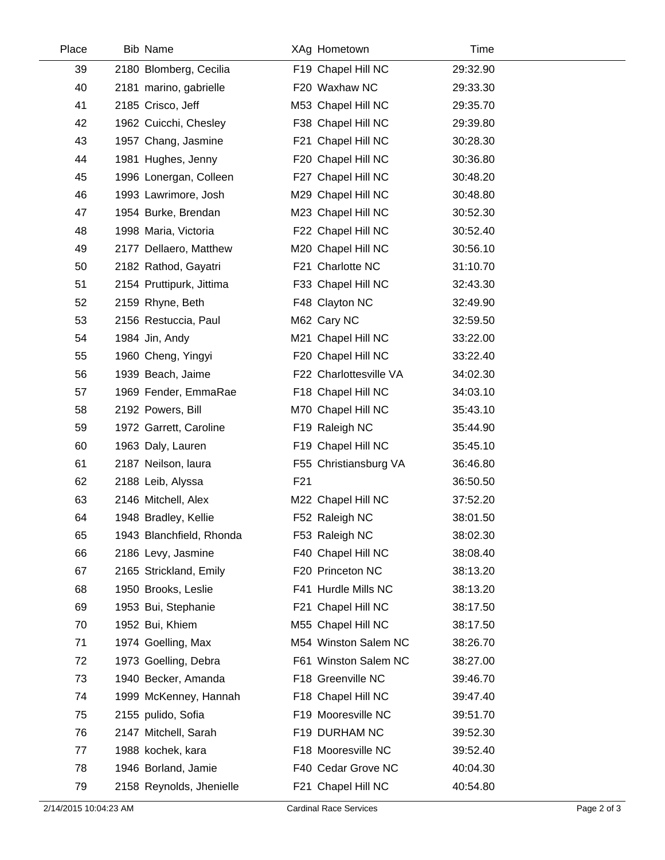| Place | <b>Bib Name</b>          |                 | XAg Hometown           | Time     |  |
|-------|--------------------------|-----------------|------------------------|----------|--|
| 39    | 2180 Blomberg, Cecilia   |                 | F19 Chapel Hill NC     | 29:32.90 |  |
| 40    | 2181 marino, gabrielle   |                 | F20 Waxhaw NC          | 29:33.30 |  |
| 41    | 2185 Crisco, Jeff        |                 | M53 Chapel Hill NC     | 29:35.70 |  |
| 42    | 1962 Cuicchi, Chesley    |                 | F38 Chapel Hill NC     | 29:39.80 |  |
| 43    | 1957 Chang, Jasmine      |                 | F21 Chapel Hill NC     | 30:28.30 |  |
| 44    | 1981 Hughes, Jenny       |                 | F20 Chapel Hill NC     | 30:36.80 |  |
| 45    | 1996 Lonergan, Colleen   |                 | F27 Chapel Hill NC     | 30:48.20 |  |
| 46    | 1993 Lawrimore, Josh     |                 | M29 Chapel Hill NC     | 30:48.80 |  |
| 47    | 1954 Burke, Brendan      |                 | M23 Chapel Hill NC     | 30:52.30 |  |
| 48    | 1998 Maria, Victoria     |                 | F22 Chapel Hill NC     | 30:52.40 |  |
| 49    | 2177 Dellaero, Matthew   |                 | M20 Chapel Hill NC     | 30:56.10 |  |
| 50    | 2182 Rathod, Gayatri     |                 | F21 Charlotte NC       | 31:10.70 |  |
| 51    | 2154 Pruttipurk, Jittima |                 | F33 Chapel Hill NC     | 32:43.30 |  |
| 52    | 2159 Rhyne, Beth         |                 | F48 Clayton NC         | 32:49.90 |  |
| 53    | 2156 Restuccia, Paul     |                 | M62 Cary NC            | 32:59.50 |  |
| 54    | 1984 Jin, Andy           |                 | M21 Chapel Hill NC     | 33:22.00 |  |
| 55    | 1960 Cheng, Yingyi       |                 | F20 Chapel Hill NC     | 33:22.40 |  |
| 56    | 1939 Beach, Jaime        |                 | F22 Charlottesville VA | 34:02.30 |  |
| 57    | 1969 Fender, EmmaRae     |                 | F18 Chapel Hill NC     | 34:03.10 |  |
| 58    | 2192 Powers, Bill        |                 | M70 Chapel Hill NC     | 35:43.10 |  |
| 59    | 1972 Garrett, Caroline   |                 | F19 Raleigh NC         | 35:44.90 |  |
| 60    | 1963 Daly, Lauren        |                 | F19 Chapel Hill NC     | 35:45.10 |  |
| 61    | 2187 Neilson, laura      |                 | F55 Christiansburg VA  | 36:46.80 |  |
| 62    | 2188 Leib, Alyssa        | F <sub>21</sub> |                        | 36:50.50 |  |
| 63    | 2146 Mitchell, Alex      |                 | M22 Chapel Hill NC     | 37:52.20 |  |
| 64    | 1948 Bradley, Kellie     |                 | F52 Raleigh NC         | 38:01.50 |  |
| 65    | 1943 Blanchfield, Rhonda |                 | F53 Raleigh NC         | 38:02.30 |  |
| 66    | 2186 Levy, Jasmine       |                 | F40 Chapel Hill NC     | 38:08.40 |  |
| 67    | 2165 Strickland, Emily   |                 | F20 Princeton NC       | 38:13.20 |  |
| 68    | 1950 Brooks, Leslie      |                 | F41 Hurdle Mills NC    | 38:13.20 |  |
| 69    | 1953 Bui, Stephanie      |                 | F21 Chapel Hill NC     | 38:17.50 |  |
| 70    | 1952 Bui, Khiem          |                 | M55 Chapel Hill NC     | 38:17.50 |  |
| 71    | 1974 Goelling, Max       |                 | M54 Winston Salem NC   | 38:26.70 |  |
| 72    | 1973 Goelling, Debra     |                 | F61 Winston Salem NC   | 38:27.00 |  |
| 73    | 1940 Becker, Amanda      |                 | F18 Greenville NC      | 39:46.70 |  |
| 74    | 1999 McKenney, Hannah    |                 | F18 Chapel Hill NC     | 39:47.40 |  |
| 75    | 2155 pulido, Sofia       |                 | F19 Mooresville NC     | 39:51.70 |  |
| 76    | 2147 Mitchell, Sarah     |                 | F19 DURHAM NC          | 39:52.30 |  |
| 77    | 1988 kochek, kara        |                 | F18 Mooresville NC     | 39:52.40 |  |
| 78    | 1946 Borland, Jamie      |                 | F40 Cedar Grove NC     | 40:04.30 |  |
| 79    | 2158 Reynolds, Jhenielle |                 | F21 Chapel Hill NC     | 40:54.80 |  |